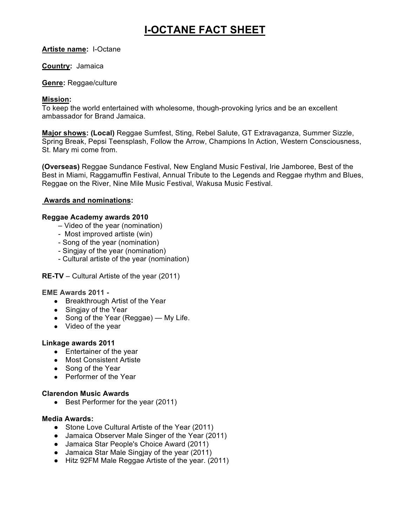# **I-OCTANE FACT SHEET**

## **Artiste name:** I-Octane

## **Country:** Jamaica

#### **Genre:** Reggae/culture

## **Mission:**

To keep the world entertained with wholesome, though-provoking lyrics and be an excellent ambassador for Brand Jamaica.

**Major shows: (Local)** Reggae Sumfest, Sting, Rebel Salute, GT Extravaganza, Summer Sizzle, Spring Break, Pepsi Teensplash, Follow the Arrow, Champions In Action, Western Consciousness, St. Mary mi come from.

**(Overseas)** Reggae Sundance Festival, New England Music Festival, Irie Jamboree, Best of the Best in Miami, Raggamuffin Festival, Annual Tribute to the Legends and Reggae rhythm and Blues, Reggae on the River, Nine Mile Music Festival, Wakusa Music Festival.

# **Awards and nominations:**

## **Reggae Academy awards 2010**

- Video of the year (nomination)
- Most improved artiste (win)
- Song of the year (nomination)
- Singjay of the year (nomination)
- Cultural artiste of the year (nomination)

# **RE-TV** – Cultural Artiste of the year (2011)

#### **EME Awards 2011 -**

- Breakthrough Artist of the Year
- Singjay of the Year
- Song of the Year (Reggae) My Life.
- Video of the year

#### **Linkage awards 2011**

- Entertainer of the year
- Most Consistent Artiste
- Song of the Year
- Performer of the Year

#### **Clarendon Music Awards**

• Best Performer for the year (2011)

#### **Media Awards:**

- Stone Love Cultural Artiste of the Year (2011)
- Jamaica Observer Male Singer of the Year (2011)
- Jamaica Star People's Choice Award (2011)
- Jamaica Star Male Singjay of the year (2011)
- Hitz 92FM Male Reggae Artiste of the year. (2011)